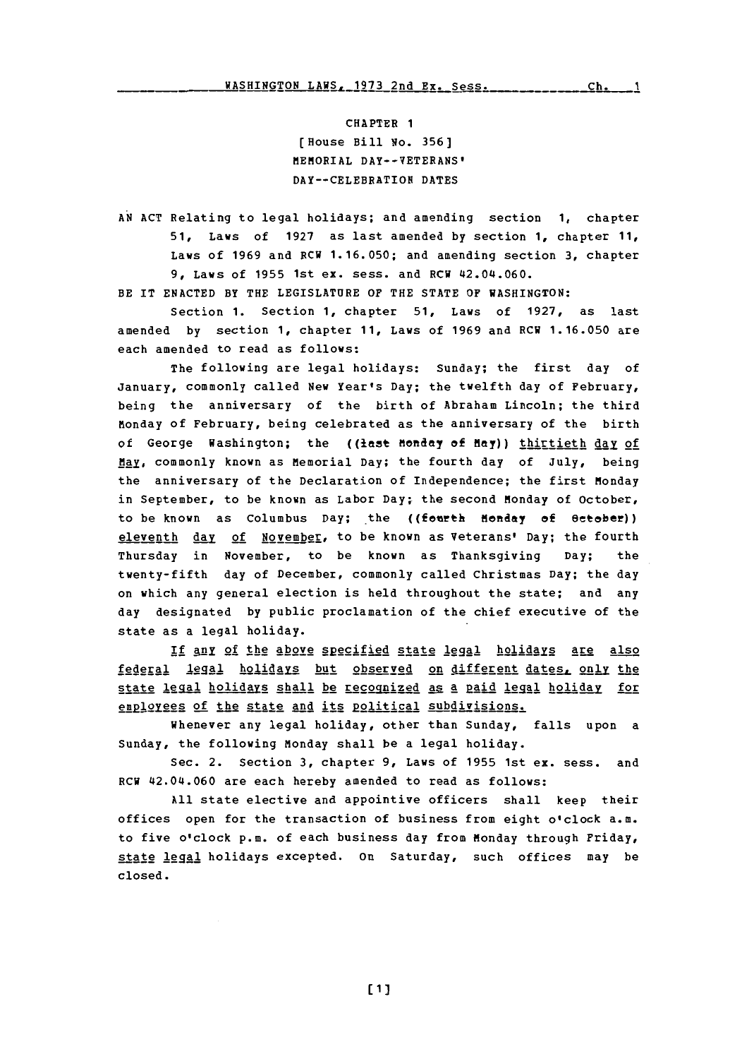CHAPTER **1** (House Bill **No. 356]** MEMORIAL DAY--VETERANS' DAY--CELEBRATION **DATES**

**AN ACT** Relating to legal holidays; and amending section **1,** chapter **51,** Laws of **1927** as last amended **by** section **1,** chapter **11,** Laws of **1969** and RCW **1.16.050;** and amending section **3,** chapter **9,** Laws of **1955** 1st ex. sess. and RCW 42.04i.060.

BE IT **ENACTED** BY THE **LEGISLATURE** OF THE **STATE** OF **WASHINGTON:**

Section **1.** Section **1,** chapter **51,** Laws of **1927,** as last amended **by** section **1,** chapter **11,** Laws of **1969** and **RCW 1.16.050** are each amended to read as follows:

The following are legal holidays: Sunday; the first day of January, commonly called New Year's Day; the twelfth day of February, being the anniversary of the birth of Abraham Lincoln; the third Monday of February, being celebrated as the anniversary of the birth of George Washington; the ((last Monday of May)) *ihirtieth day of* May, commonly known as Memorial Day; the fourth day of July, being the anniversary of the Declaration of Independence; the first Monday in September, to be known as Labor Day; the second Monday of October, to be known as Columbus Day; the ((fourth Monday of October)) eleventh day of November, to be known as Veterans' Day; the fourth Thursday in November, to be known as Thanksgiving Day; the twenty-fifth day **of** December, commonly called Christmas Day; the day on which any general election is held throughout the state; and any day designated **by** public proclamation of the chief executive of the state as a legal holiday.

If any of the above specified state legal holidays are also federal legal holidays but observed on different dates, only the state legal holidays shall be recognized as a paid legal holiday for employees of the state and its political subdivisions.

Whenever any legal holiday, other than Sunday, falls upon a Sunday, the following Monday shall be a legal holiday.

Sec. 2. Section **3,** chapter **9,** Laws of **1955** 1st ex. sess. and RCW 42.04.060 are each hereby amended to read as follows:

**All** state elective and appointive officers shall keep their offices open for the transaction of business from eight o'clock a.m. to five o'clock p.m. of each business day from Monday through Friday, state legqal holidays excepted. on Saturday, such offices may be closed.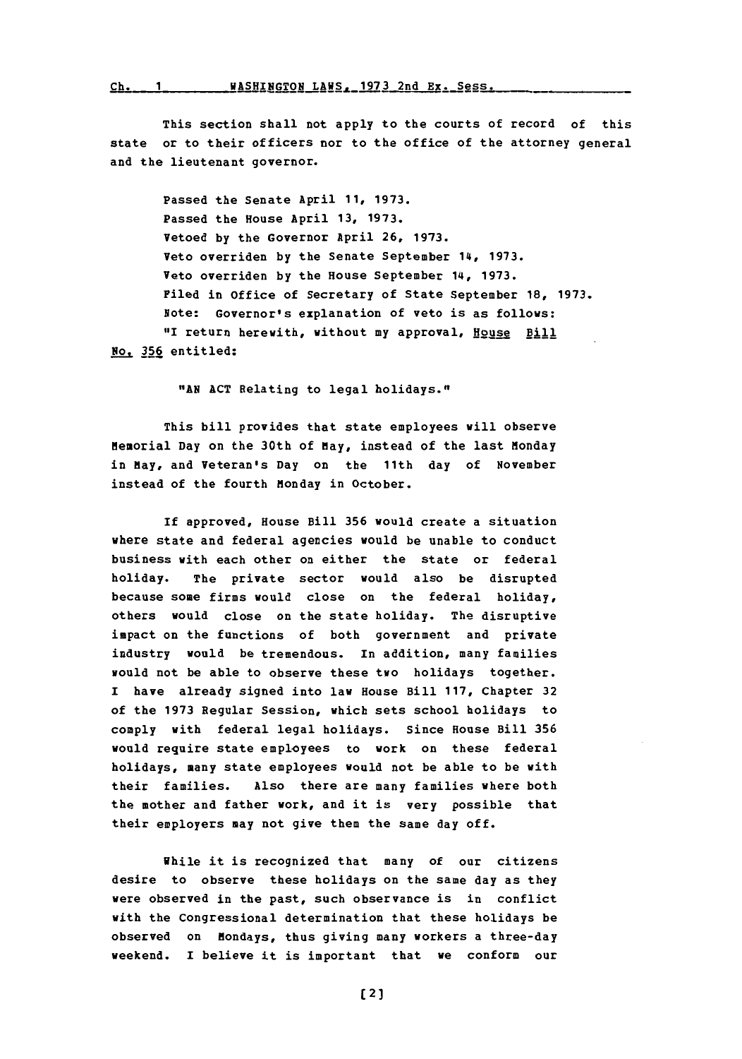## Ch. 1 WASHINGTON LAWS, 1973 2nd Ex. Sess.

This section shall not apply to the courts of record of this state or to their officers nor to the office of the attorney general and the lieutenant governor.

Passed the Senate April **11, 1973.** Passed the House April **13, 1973.** Vetoed **by** the Governor April **26, 1973.** Veto overriden **by** the Senate September 14, **1973.** Veto overriden **by** the House September 14, **1973.** Filed in office of Secretary of State September **18, 1973.** Note: Governor's explanation of veto is as follows: "I return herewith, without my approval, **HoUse** Bill No. **356** entitled:

**"AN ACT** Relating to legal holidays."

This bill provides that state employees will observe Memorial Day on the 30th of May, instead of the last Monday in May, and Veteran's Day on the 11th day of November instead of the fourth Monday in October.

If approved, House Bill **356** would create a situation where state and federal agencies would be unable to conduct business with each other on either the state or federal holiday. The private sector would also be disrupted because some firms would close on the federal holiday, others would close on the state holiday. The disruptive impact on the functions of both government and private industry would be tremendous. In addition, many families would not be able to observe these two holidays together. I have already signed into law House Bill **117,** Chapter **32** of the **1973** Regular Session, which sets school holidays to comply with federal legal holidays. Since House Bill **356** would require state employees to work on these federal holidays, many state employees would not be able to be with their families. Also there are many families where both the mother and father work, and it is very possible that their employers may not give them the same day off.

While it is recognized that many of our citizens desire to observe these holidays on the same day as they were observed in the past, such observance is in conflict with the Congressional determination that these holidays be observed on Mondays, thus giving many workers a three-day weekend. I believe it is important that we conform our